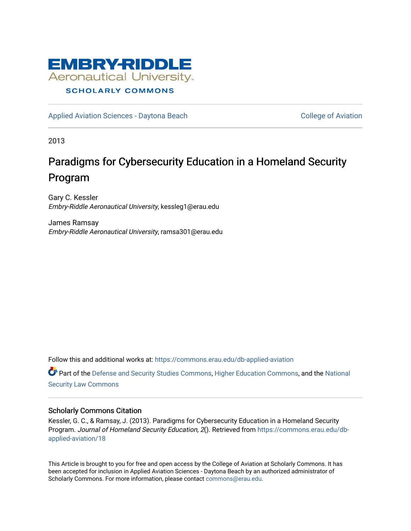

## **SCHOLARLY COMMONS**

[Applied Aviation Sciences - Daytona Beach](https://commons.erau.edu/db-applied-aviation) [College of Aviation](https://commons.erau.edu/db-aviation) College of Aviation

2013

# Paradigms for Cybersecurity Education in a Homeland Security Program

Gary C. Kessler Embry-Riddle Aeronautical University, kessleg1@erau.edu

James Ramsay Embry-Riddle Aeronautical University, ramsa301@erau.edu

Follow this and additional works at: [https://commons.erau.edu/db-applied-aviation](https://commons.erau.edu/db-applied-aviation?utm_source=commons.erau.edu%2Fdb-applied-aviation%2F18&utm_medium=PDF&utm_campaign=PDFCoverPages) 

Part of the [Defense and Security Studies Commons](http://network.bepress.com/hgg/discipline/394?utm_source=commons.erau.edu%2Fdb-applied-aviation%2F18&utm_medium=PDF&utm_campaign=PDFCoverPages), [Higher Education Commons,](http://network.bepress.com/hgg/discipline/1245?utm_source=commons.erau.edu%2Fdb-applied-aviation%2F18&utm_medium=PDF&utm_campaign=PDFCoverPages) and the [National](http://network.bepress.com/hgg/discipline/1114?utm_source=commons.erau.edu%2Fdb-applied-aviation%2F18&utm_medium=PDF&utm_campaign=PDFCoverPages)  [Security Law Commons](http://network.bepress.com/hgg/discipline/1114?utm_source=commons.erau.edu%2Fdb-applied-aviation%2F18&utm_medium=PDF&utm_campaign=PDFCoverPages)

#### Scholarly Commons Citation

Kessler, G. C., & Ramsay, J. (2013). Paradigms for Cybersecurity Education in a Homeland Security Program. Journal of Homeland Security Education, 2(). Retrieved from [https://commons.erau.edu/db](https://commons.erau.edu/db-applied-aviation/18?utm_source=commons.erau.edu%2Fdb-applied-aviation%2F18&utm_medium=PDF&utm_campaign=PDFCoverPages)[applied-aviation/18](https://commons.erau.edu/db-applied-aviation/18?utm_source=commons.erau.edu%2Fdb-applied-aviation%2F18&utm_medium=PDF&utm_campaign=PDFCoverPages) 

This Article is brought to you for free and open access by the College of Aviation at Scholarly Commons. It has been accepted for inclusion in Applied Aviation Sciences - Daytona Beach by an authorized administrator of Scholarly Commons. For more information, please contact [commons@erau.edu.](mailto:commons@erau.edu)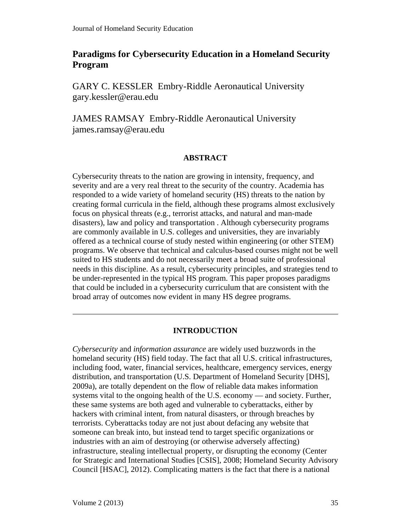# **Paradigms for Cybersecurity Education in a Homeland Security Program**

GARY C. KESSLER Embry-Riddle Aeronautical University gary.kessler@erau.edu

JAMES RAMSAY Embry-Riddle Aeronautical University james.ramsay@erau.edu

#### **ABSTRACT**

Cybersecurity threats to the nation are growing in intensity, frequency, and severity and are a very real threat to the security of the country. Academia has responded to a wide variety of homeland security (HS) threats to the nation by creating formal curricula in the field, although these programs almost exclusively focus on physical threats (e.g., terrorist attacks, and natural and man-made disasters), law and policy and transportation . Although cybersecurity programs are commonly available in U.S. colleges and universities, they are invariably offered as a technical course of study nested within engineering (or other STEM) programs. We observe that technical and calculus-based courses might not be well suited to HS students and do not necessarily meet a broad suite of professional needs in this discipline. As a result, cybersecurity principles, and strategies tend to be under-represented in the typical HS program. This paper proposes paradigms that could be included in a cybersecurity curriculum that are consistent with the broad array of outcomes now evident in many HS degree programs.

#### **INTRODUCTION**

*Cybersecurity* and *information assurance* are widely used buzzwords in the homeland security (HS) field today. The fact that all U.S. critical infrastructures, including food, water, financial services, healthcare, emergency services, energy distribution, and transportation (U.S. Department of Homeland Security [DHS], 2009a), are totally dependent on the flow of reliable data makes information systems vital to the ongoing health of the U.S. economy — and society. Further, these same systems are both aged and vulnerable to cyberattacks, either by hackers with criminal intent, from natural disasters, or through breaches by terrorists. Cyberattacks today are not just about defacing any website that someone can break into, but instead tend to target specific organizations or industries with an aim of destroying (or otherwise adversely affecting) infrastructure, stealing intellectual property, or disrupting the economy (Center for Strategic and International Studies [CSIS], 2008; Homeland Security Advisory Council [HSAC], 2012). Complicating matters is the fact that there is a national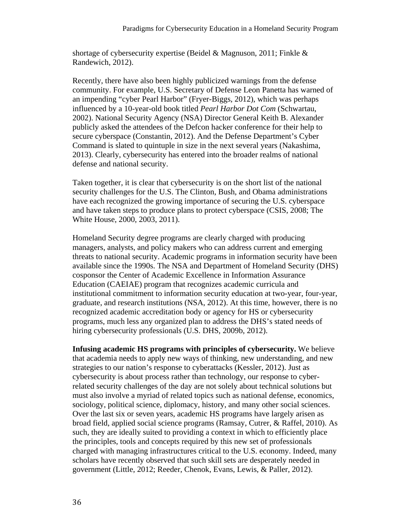shortage of cybersecurity expertise (Beidel & Magnuson, 2011; Finkle & Randewich, 2012).

Recently, there have also been highly publicized warnings from the defense community. For example, U.S. Secretary of Defense Leon Panetta has warned of an impending "cyber Pearl Harbor" (Fryer-Biggs, 2012), which was perhaps influenced by a 10-year-old book titled *Pearl Harbor Dot Com* (Schwartau, 2002). National Security Agency (NSA) Director General Keith B. Alexander publicly asked the attendees of the Defcon hacker conference for their help to secure cyberspace (Constantin, 2012). And the Defense Department's Cyber Command is slated to quintuple in size in the next several years (Nakashima, 2013). Clearly, cybersecurity has entered into the broader realms of national defense and national security.

Taken together, it is clear that cybersecurity is on the short list of the national security challenges for the U.S. The Clinton, Bush, and Obama administrations have each recognized the growing importance of securing the U.S. cyberspace and have taken steps to produce plans to protect cyberspace (CSIS, 2008; The White House, 2000, 2003, 2011).

Homeland Security degree programs are clearly charged with producing managers, analysts, and policy makers who can address current and emerging threats to national security. Academic programs in information security have been available since the 1990s. The NSA and Department of Homeland Security (DHS) cosponsor the Center of Academic Excellence in Information Assurance Education (CAEIAE) program that recognizes academic curricula and institutional commitment to information security education at two-year, four-year, graduate, and research institutions (NSA, 2012). At this time, however, there is no recognized academic accreditation body or agency for HS or cybersecurity programs, much less any organized plan to address the DHS's stated needs of hiring cybersecurity professionals (U.S. DHS, 2009b, 2012).

**Infusing academic HS programs with principles of cybersecurity.** We believe that academia needs to apply new ways of thinking, new understanding, and new strategies to our nation's response to cyberattacks (Kessler, 2012). Just as cybersecurity is about process rather than technology, our response to cyberrelated security challenges of the day are not solely about technical solutions but must also involve a myriad of related topics such as national defense, economics, sociology, political science, diplomacy, history, and many other social sciences. Over the last six or seven years, academic HS programs have largely arisen as broad field, applied social science programs (Ramsay, Cutrer, & Raffel, 2010). As such, they are ideally suited to providing a context in which to efficiently place the principles, tools and concepts required by this new set of professionals charged with managing infrastructures critical to the U.S. economy. Indeed, many scholars have recently observed that such skill sets are desperately needed in government (Little, 2012; Reeder, Chenok, Evans, Lewis, & Paller, 2012).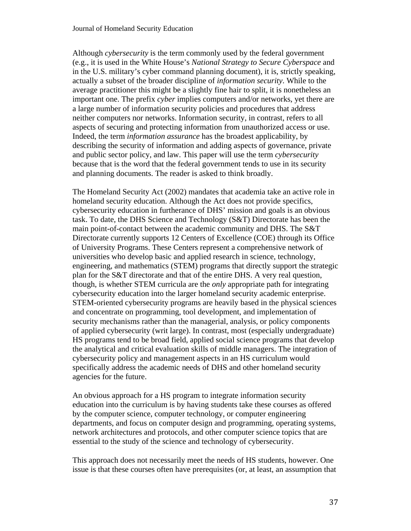Although *cybersecurity* is the term commonly used by the federal government (e.g., it is used in the White House's *National Strategy to Secure Cyberspace* and in the U.S. military's cyber command planning document), it is, strictly speaking, actually a subset of the broader discipline of *information security*. While to the average practitioner this might be a slightly fine hair to split, it is nonetheless an important one. The prefix *cyber* implies computers and/or networks, yet there are a large number of information security policies and procedures that address neither computers nor networks. Information security, in contrast, refers to all aspects of securing and protecting information from unauthorized access or use. Indeed, the term *information assurance* has the broadest applicability, by describing the security of information and adding aspects of governance, private and public sector policy, and law. This paper will use the term *cybersecurity* because that is the word that the federal government tends to use in its security and planning documents. The reader is asked to think broadly.

The Homeland Security Act (2002) mandates that academia take an active role in homeland security education. Although the Act does not provide specifics, cybersecurity education in furtherance of DHS' mission and goals is an obvious task. To date, the DHS Science and Technology (S&T) Directorate has been the main point-of-contact between the academic community and DHS. The S&T Directorate currently supports 12 Centers of Excellence (COE) through its Office of University Programs. These Centers represent a comprehensive network of universities who develop basic and applied research in science, technology, engineering, and mathematics (STEM) programs that directly support the strategic plan for the S&T directorate and that of the entire DHS. A very real question, though, is whether STEM curricula are the *only* appropriate path for integrating cybersecurity education into the larger homeland security academic enterprise. STEM-oriented cybersecurity programs are heavily based in the physical sciences and concentrate on programming, tool development, and implementation of security mechanisms rather than the managerial, analysis, or policy components of applied cybersecurity (writ large). In contrast, most (especially undergraduate) HS programs tend to be broad field, applied social science programs that develop the analytical and critical evaluation skills of middle managers. The integration of cybersecurity policy and management aspects in an HS curriculum would specifically address the academic needs of DHS and other homeland security agencies for the future.

An obvious approach for a HS program to integrate information security education into the curriculum is by having students take these courses as offered by the computer science, computer technology, or computer engineering departments, and focus on computer design and programming, operating systems, network architectures and protocols, and other computer science topics that are essential to the study of the science and technology of cybersecurity.

This approach does not necessarily meet the needs of HS students, however. One issue is that these courses often have prerequisites (or, at least, an assumption that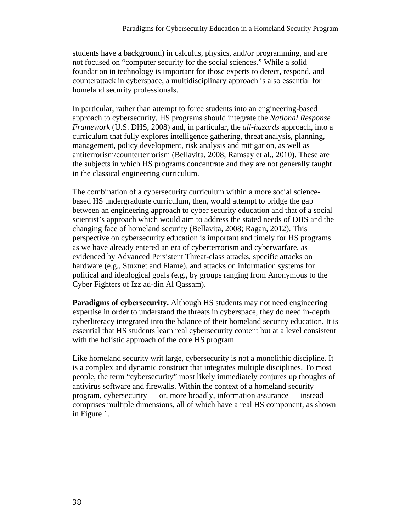students have a background) in calculus, physics, and/or programming, and are not focused on "computer security for the social sciences." While a solid foundation in technology is important for those experts to detect, respond, and counterattack in cyberspace, a multidisciplinary approach is also essential for homeland security professionals.

In particular, rather than attempt to force students into an engineering-based approach to cybersecurity, HS programs should integrate the *National Response Framework* (U.S. DHS, 2008) and, in particular, the *all-hazards* approach, into a curriculum that fully explores intelligence gathering, threat analysis, planning, management, policy development, risk analysis and mitigation, as well as antiterrorism/counterterrorism (Bellavita, 2008; Ramsay et al., 2010). These are the subjects in which HS programs concentrate and they are not generally taught in the classical engineering curriculum.

The combination of a cybersecurity curriculum within a more social sciencebased HS undergraduate curriculum, then, would attempt to bridge the gap between an engineering approach to cyber security education and that of a social scientist's approach which would aim to address the stated needs of DHS and the changing face of homeland security (Bellavita, 2008; Ragan, 2012). This perspective on cybersecurity education is important and timely for HS programs as we have already entered an era of cyberterrorism and cyberwarfare, as evidenced by Advanced Persistent Threat-class attacks, specific attacks on hardware (e.g., Stuxnet and Flame), and attacks on information systems for political and ideological goals (e.g., by groups ranging from Anonymous to the Cyber Fighters of Izz ad-din Al Qassam).

**Paradigms of cybersecurity.** Although HS students may not need engineering expertise in order to understand the threats in cyberspace, they do need in-depth cyberliteracy integrated into the balance of their homeland security education. It is essential that HS students learn real cybersecurity content but at a level consistent with the holistic approach of the core HS program.

Like homeland security writ large, cybersecurity is not a monolithic discipline. It is a complex and dynamic construct that integrates multiple disciplines. To most people, the term "cybersecurity" most likely immediately conjures up thoughts of antivirus software and firewalls. Within the context of a homeland security program, cybersecurity — or, more broadly, information assurance — instead comprises multiple dimensions, all of which have a real HS component, as shown in Figure 1.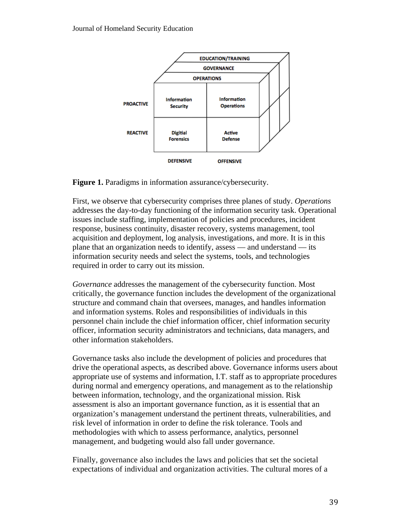

**Figure 1.** Paradigms in information assurance/cybersecurity.

First, we observe that cybersecurity comprises three planes of study. *Operations* addresses the day-to-day functioning of the information security task. Operational issues include staffing, implementation of policies and procedures, incident response, business continuity, disaster recovery, systems management, tool acquisition and deployment, log analysis, investigations, and more. It is in this plane that an organization needs to identify, assess — and understand — its information security needs and select the systems, tools, and technologies required in order to carry out its mission.

*Governance* addresses the management of the cybersecurity function. Most critically, the governance function includes the development of the organizational structure and command chain that oversees, manages, and handles information and information systems. Roles and responsibilities of individuals in this personnel chain include the chief information officer, chief information security officer, information security administrators and technicians, data managers, and other information stakeholders.

Governance tasks also include the development of policies and procedures that drive the operational aspects, as described above. Governance informs users about appropriate use of systems and information, I.T. staff as to appropriate procedures during normal and emergency operations, and management as to the relationship between information, technology, and the organizational mission. Risk assessment is also an important governance function, as it is essential that an organization's management understand the pertinent threats, vulnerabilities, and risk level of information in order to define the risk tolerance. Tools and methodologies with which to assess performance, analytics, personnel management, and budgeting would also fall under governance.

Finally, governance also includes the laws and policies that set the societal expectations of individual and organization activities. The cultural mores of a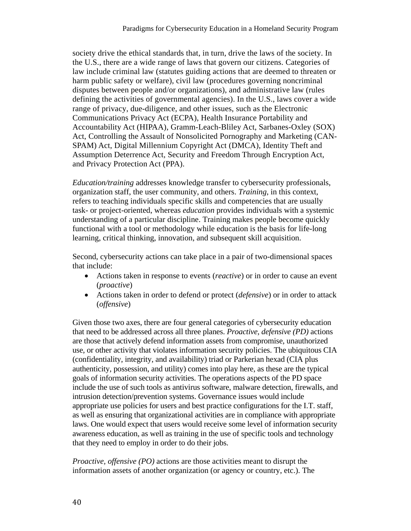society drive the ethical standards that, in turn, drive the laws of the society. In the U.S., there are a wide range of laws that govern our citizens. Categories of law include criminal law (statutes guiding actions that are deemed to threaten or harm public safety or welfare), civil law (procedures governing noncriminal disputes between people and/or organizations), and administrative law (rules defining the activities of governmental agencies). In the U.S., laws cover a wide range of privacy, due-diligence, and other issues, such as the Electronic Communications Privacy Act (ECPA), Health Insurance Portability and Accountability Act (HIPAA), Gramm-Leach-Bliley Act, Sarbanes-Oxley (SOX) Act, Controlling the Assault of Nonsolicited Pornography and Marketing (CAN-SPAM) Act, Digital Millennium Copyright Act (DMCA), Identity Theft and Assumption Deterrence Act, Security and Freedom Through Encryption Act, and Privacy Protection Act (PPA).

*Education/training* addresses knowledge transfer to cybersecurity professionals, organization staff, the user community, and others. *Training*, in this context, refers to teaching individuals specific skills and competencies that are usually task- or project-oriented, whereas *education* provides individuals with a systemic understanding of a particular discipline. Training makes people become quickly functional with a tool or methodology while education is the basis for life-long learning, critical thinking, innovation, and subsequent skill acquisition.

Second, cybersecurity actions can take place in a pair of two-dimensional spaces that include:

- Actions taken in response to events (*reactive*) or in order to cause an event (*proactive*)
- Actions taken in order to defend or protect (*defensive*) or in order to attack (*offensive*)

Given those two axes, there are four general categories of cybersecurity education that need to be addressed across all three planes. *Proactive, defensive (PD)* actions are those that actively defend information assets from compromise, unauthorized use, or other activity that violates information security policies. The ubiquitous CIA (confidentiality, integrity, and availability) triad or Parkerian hexad (CIA plus authenticity, possession, and utility) comes into play here, as these are the typical goals of information security activities. The operations aspects of the PD space include the use of such tools as antivirus software, malware detection, firewalls, and intrusion detection/prevention systems. Governance issues would include appropriate use policies for users and best practice configurations for the I.T. staff, as well as ensuring that organizational activities are in compliance with appropriate laws. One would expect that users would receive some level of information security awareness education, as well as training in the use of specific tools and technology that they need to employ in order to do their jobs.

*Proactive, offensive (PO)* actions are those activities meant to disrupt the information assets of another organization (or agency or country, etc.). The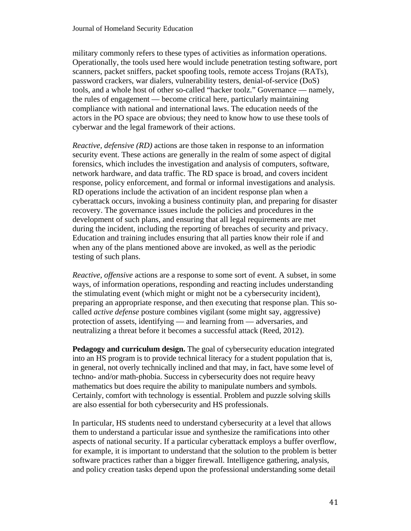military commonly refers to these types of activities as information operations. Operationally, the tools used here would include penetration testing software, port scanners, packet sniffers, packet spoofing tools, remote access Trojans (RATs), password crackers, war dialers, vulnerability testers, denial-of-service (DoS) tools, and a whole host of other so-called "hacker toolz." Governance — namely, the rules of engagement — become critical here, particularly maintaining compliance with national and international laws. The education needs of the actors in the PO space are obvious; they need to know how to use these tools of cyberwar and the legal framework of their actions.

*Reactive, defensive (RD)* actions are those taken in response to an information security event. These actions are generally in the realm of some aspect of digital forensics, which includes the investigation and analysis of computers, software, network hardware, and data traffic. The RD space is broad, and covers incident response, policy enforcement, and formal or informal investigations and analysis. RD operations include the activation of an incident response plan when a cyberattack occurs, invoking a business continuity plan, and preparing for disaster recovery. The governance issues include the policies and procedures in the development of such plans, and ensuring that all legal requirements are met during the incident, including the reporting of breaches of security and privacy. Education and training includes ensuring that all parties know their role if and when any of the plans mentioned above are invoked, as well as the periodic testing of such plans.

*Reactive, offensive* actions are a response to some sort of event. A subset, in some ways, of information operations, responding and reacting includes understanding the stimulating event (which might or might not be a cybersecurity incident), preparing an appropriate response, and then executing that response plan. This socalled *active defense* posture combines vigilant (some might say, aggressive) protection of assets, identifying — and learning from — adversaries, and neutralizing a threat before it becomes a successful attack (Reed, 2012).

**Pedagogy and curriculum design.** The goal of cybersecurity education integrated into an HS program is to provide technical literacy for a student population that is, in general, not overly technically inclined and that may, in fact, have some level of techno- and/or math-phobia. Success in cybersecurity does not require heavy mathematics but does require the ability to manipulate numbers and symbols. Certainly, comfort with technology is essential. Problem and puzzle solving skills are also essential for both cybersecurity and HS professionals.

In particular, HS students need to understand cybersecurity at a level that allows them to understand a particular issue and synthesize the ramifications into other aspects of national security. If a particular cyberattack employs a buffer overflow, for example, it is important to understand that the solution to the problem is better software practices rather than a bigger firewall. Intelligence gathering, analysis, and policy creation tasks depend upon the professional understanding some detail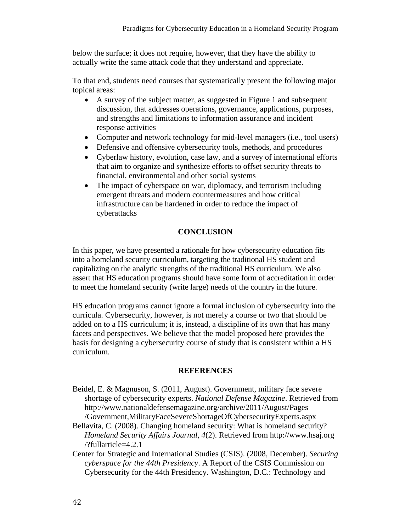below the surface; it does not require, however, that they have the ability to actually write the same attack code that they understand and appreciate.

To that end, students need courses that systematically present the following major topical areas:

- A survey of the subject matter, as suggested in Figure 1 and subsequent discussion, that addresses operations, governance, applications, purposes, and strengths and limitations to information assurance and incident response activities
- Computer and network technology for mid-level managers (i.e., tool users)
- Defensive and offensive cybersecurity tools, methods, and procedures
- Cyberlaw history, evolution, case law, and a survey of international efforts that aim to organize and synthesize efforts to offset security threats to financial, environmental and other social systems
- The impact of cyberspace on war, diplomacy, and terrorism including emergent threats and modern countermeasures and how critical infrastructure can be hardened in order to reduce the impact of cyberattacks

## **CONCLUSION**

In this paper, we have presented a rationale for how cybersecurity education fits into a homeland security curriculum, targeting the traditional HS student and capitalizing on the analytic strengths of the traditional HS curriculum. We also assert that HS education programs should have some form of accreditation in order to meet the homeland security (write large) needs of the country in the future.

HS education programs cannot ignore a formal inclusion of cybersecurity into the curricula. Cybersecurity, however, is not merely a course or two that should be added on to a HS curriculum; it is, instead, a discipline of its own that has many facets and perspectives. We believe that the model proposed here provides the basis for designing a cybersecurity course of study that is consistent within a HS curriculum.

#### **REFERENCES**

- Beidel, E. & Magnuson, S. (2011, August). Government, military face severe shortage of cybersecurity experts. *National Defense Magazine*. Retrieved from http://www.nationaldefensemagazine.org/archive/2011/August/Pages /Government,MilitaryFaceSevereShortageOfCybersecurityExperts.aspx
- Bellavita, C. (2008). Changing homeland security: What is homeland security? *Homeland Security Affairs Journal*, *4*(2). Retrieved from http://www.hsaj.org /?fullarticle=4.2.1
- Center for Strategic and International Studies (CSIS). (2008, December). *Securing cyberspace for the 44th Presidency*. A Report of the CSIS Commission on Cybersecurity for the 44th Presidency. Washington, D.C.: Technology and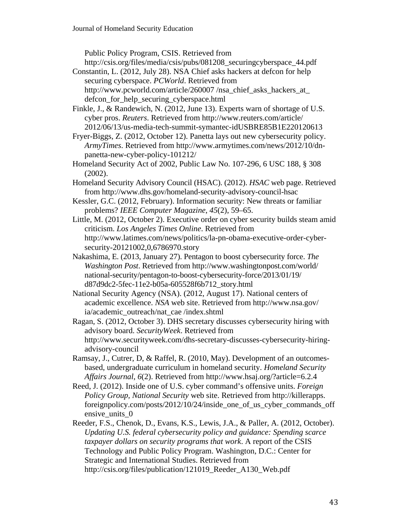Public Policy Program, CSIS. Retrieved from

http://csis.org/files/media/csis/pubs/081208\_securingcyberspace\_44.pdf

- Constantin, L. (2012, July 28). NSA Chief asks hackers at defcon for help securing cyberspace. *PCWorld*. Retrieved from http://www.pcworld.com/article/260007/nsa\_chief\_asks\_hackers\_at defcon\_for\_help\_securing\_cyberspace.html
- Finkle, J., & Randewich, N. (2012, June 13). Experts warn of shortage of U.S. cyber pros. *Reuters*. Retrieved from http://www.reuters.com/article/ 2012/06/13/us-media-tech-summit-symantec-idUSBRE85B1E220120613
- Fryer-Biggs, Z. (2012, October 12). Panetta lays out new cybersecurity policy. *ArmyTimes*. Retrieved from http://www.armytimes.com/news/2012/10/dnpanetta-new-cyber-policy-101212/
- Homeland Security Act of 2002, Public Law No. 107-296, 6 USC 188, § 308 (2002).
- Homeland Security Advisory Council (HSAC). (2012). *HSAC* web page. Retrieved from http://www.dhs.gov/homeland-security-advisory-council-hsac
- Kessler, G.C. (2012, February). Information security: New threats or familiar problems? *IEEE Computer Magazine*, *45*(2), 59–65.
- Little, M. (2012, October 2). Executive order on cyber security builds steam amid criticism. *Los Angeles Times Online*. Retrieved from http://www.latimes.com/news/politics/la-pn-obama-executive-order-cybersecurity-20121002,0,6786970.story
- Nakashima, E. (2013, January 27). Pentagon to boost cybersecurity force. *The Washington Post*. Retrieved from http://www.washingtonpost.com/world/ national-security/pentagon-to-boost-cybersecurity-force/2013/01/19/ d87d9dc2-5fec-11e2-b05a-605528f6b712\_story.html
- National Security Agency (NSA). (2012, August 17). National centers of academic excellence. *NSA* web site. Retrieved from http://www.nsa.gov/ ia/academic\_outreach/nat\_cae /index.shtml

Ragan, S. (2012, October 3). DHS secretary discusses cybersecurity hiring with advisory board. *SecurityWeek*. Retrieved from http://www.securityweek.com/dhs-secretary-discusses-cybersecurity-hiringadvisory-council

- Ramsay, J., Cutrer, D, & Raffel, R. (2010, May). Development of an outcomesbased, undergraduate curriculum in homeland security. *Homeland Security Affairs Journal*, *6*(2). Retrieved from http://www.hsaj.org/?article=6.2.4
- Reed, J. (2012). Inside one of U.S. cyber command's offensive units. *Foreign Policy Group, National Security* web site. Retrieved from http://killerapps. foreignpolicy.com/posts/2012/10/24/inside\_one\_of\_us\_cyber\_commands\_off ensive units 0
- Reeder, F.S., Chenok, D., Evans, K.S., Lewis, J.A., & Paller, A. (2012, October). *Updating U.S. federal cybersecurity policy and guidance: Spending scarce taxpayer dollars on security programs that work*. A report of the CSIS Technology and Public Policy Program. Washington, D.C.: Center for Strategic and International Studies. Retrieved from http://csis.org/files/publication/121019\_Reeder\_A130\_Web.pdf